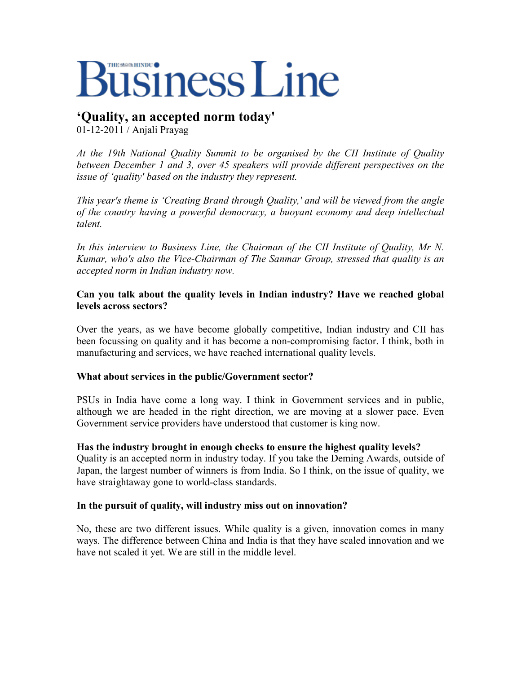# **Business Line**

# **'Quality, an accepted norm today'**

01-12-2011 / Anjali Prayag

*At the 19th National Quality Summit to be organised by the CII Institute of Quality between December 1 and 3, over 45 speakers will provide different perspectives on the issue of 'quality' based on the industry they represent.* 

*This year's theme is 'Creating Brand through Quality,' and will be viewed from the angle of the country having a powerful democracy, a buoyant economy and deep intellectual talent.* 

*In this interview to Business Line, the Chairman of the CII Institute of Quality, Mr N. Kumar, who's also the Vice-Chairman of The Sanmar Group, stressed that quality is an accepted norm in Indian industry now.* 

#### **Can you talk about the quality levels in Indian industry? Have we reached global levels across sectors?**

Over the years, as we have become globally competitive, Indian industry and CII has been focussing on quality and it has become a non-compromising factor. I think, both in manufacturing and services, we have reached international quality levels.

## **What about services in the public/Government sector?**

PSUs in India have come a long way. I think in Government services and in public, although we are headed in the right direction, we are moving at a slower pace. Even Government service providers have understood that customer is king now.

## **Has the industry brought in enough checks to ensure the highest quality levels?**

Quality is an accepted norm in industry today. If you take the Deming Awards, outside of Japan, the largest number of winners is from India. So I think, on the issue of quality, we have straightaway gone to world-class standards.

## **In the pursuit of quality, will industry miss out on innovation?**

No, these are two different issues. While quality is a given, innovation comes in many ways. The difference between China and India is that they have scaled innovation and we have not scaled it yet. We are still in the middle level.